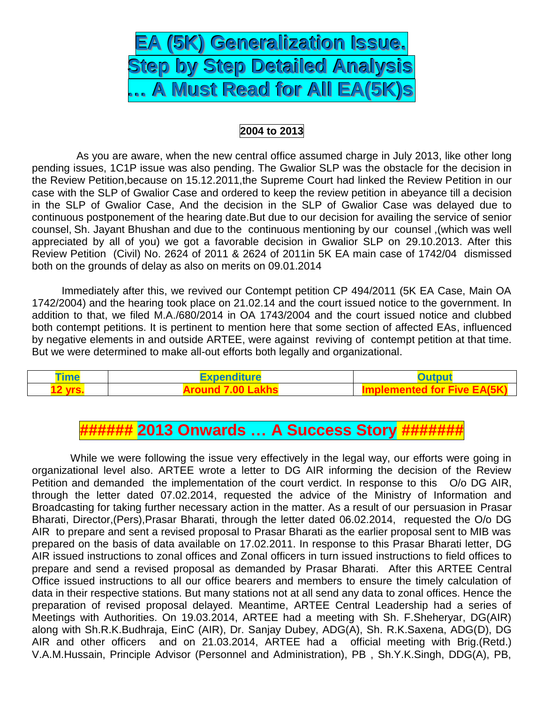

## **2004 to 2013**

 As you are aware, when the new central office assumed charge in July 2013, like other long pending issues, 1C1P issue was also pending. The Gwalior SLP was the obstacle for the decision in the Review Petition,because on 15.12.2011,the Supreme Court had linked the Review Petition in our case with the SLP of Gwalior Case and ordered to keep the review petition in abeyance till a decision in the SLP of Gwalior Case, And the decision in the SLP of Gwalior Case was delayed due to continuous postponement of the hearing date.But due to our decision for availing the service of senior counsel, Sh. Jayant Bhushan and due to the continuous mentioning by our counsel ,(which was well appreciated by all of you) we got a favorable decision in Gwalior SLP on 29.10.2013. After this Review Petition (Civil) No. 2624 of 2011 & 2624 of 2011in 5K EA main case of 1742/04 dismissed both on the grounds of delay as also on merits on 09.01.2014

 Immediately after this, we revived our Contempt petition CP 494/2011 (5K EA Case, Main OA 1742/2004) and the hearing took place on 21.02.14 and the court issued notice to the government. In addition to that, we filed M.A./680/2014 in OA 1743/2004 and the court issued notice and clubbed both contempt petitions. It is pertinent to mention here that some section of affected EAs, influenced by negative elements in and outside ARTEE, were against reviving of contempt petition at that time. But we were determined to make all-out efforts both legally and organizational.

| --<br><i>ime</i> | Expenditur∈<br>ture | utput |
|------------------|---------------------|-------|
|                  |                     |       |

## **###### 2013 Onwards … A Success Story #######**

 While we were following the issue very effectively in the legal way, our efforts were going in organizational level also. ARTEE wrote a letter to DG AIR informing the decision of the Review Petition and demanded the implementation of the court verdict. In response to this O/o DG AIR, through the letter dated 07.02.2014, requested the advice of the Ministry of Information and Broadcasting for taking further necessary action in the matter. As a result of our persuasion in Prasar Bharati, Director,(Pers),Prasar Bharati, through the letter dated 06.02.2014, requested the O/o DG AIR to prepare and sent a revised proposal to Prasar Bharati as the earlier proposal sent to MIB was prepared on the basis of data available on 17.02.2011. In response to this Prasar Bharati letter, DG AIR issued instructions to zonal offices and Zonal officers in turn issued instructions to field offices to prepare and send a revised proposal as demanded by Prasar Bharati. After this ARTEE Central Office issued instructions to all our office bearers and members to ensure the timely calculation of data in their respective stations. But many stations not at all send any data to zonal offices. Hence the preparation of revised proposal delayed. Meantime, ARTEE Central Leadership had a series of Meetings with Authorities. On 19.03.2014, ARTEE had a meeting with Sh. F.Sheheryar, DG(AIR) along with Sh.R.K.Budhraja, EinC (AIR), Dr. Sanjay Dubey, ADG(A), Sh. R.K.Saxena, ADG(D), DG AIR and other officers and on 21.03.2014, ARTEE had a official meeting with Brig.(Retd.) V.A.M.Hussain, Principle Advisor (Personnel and Administration), PB , Sh.Y.K.Singh, DDG(A), PB,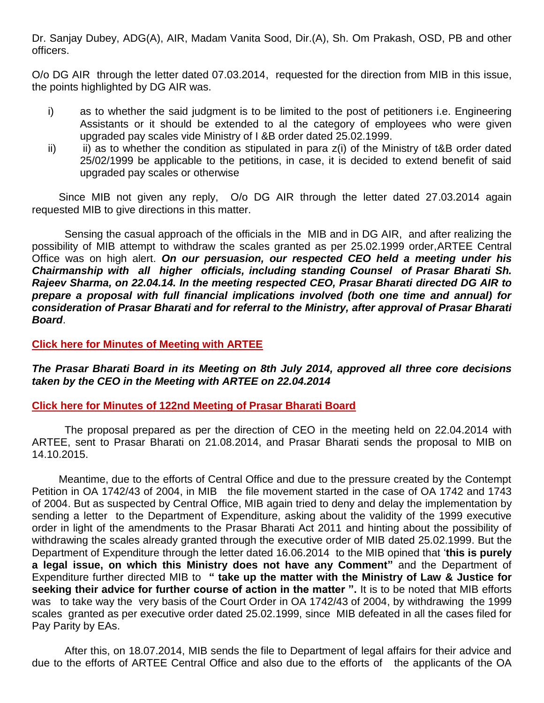Dr. Sanjay Dubey, ADG(A), AIR, Madam Vanita Sood, Dir.(A), Sh. Om Prakash, OSD, PB and other officers.

O/o DG AIR through the letter dated 07.03.2014, requested for the direction from MIB in this issue, the points highlighted by DG AIR was.

- i) as to whether the said judgment is to be limited to the post of petitioners i.e. Engineering Assistants or it should be extended to al the category of employees who were given upgraded pay scales vide Ministry of I &B order dated 25.02.1999.
- $ii)$  ii) as to whether the condition as stipulated in para  $z(i)$  of the Ministry of t&B order dated 25/02/1999 be applicable to the petitions, in case, it is decided to extend benefit of said upgraded pay scales or otherwise

 Since MIB not given any reply, O/o DG AIR through the letter dated 27.03.2014 again requested MIB to give directions in this matter.

 Sensing the casual approach of the officials in the MIB and in DG AIR, and after realizing the possibility of MIB attempt to withdraw the scales granted as per 25.02.1999 order,ARTEE Central Office was on high alert. *On our persuasion, our respected CEO held a meeting under his Chairmanship with all higher officials, including standing Counsel of Prasar Bharati Sh. Rajeev Sharma, on 22.04.14. In the meeting respected CEO, Prasar Bharati directed DG AIR to prepare a proposal with full financial implications involved (both one time and annual) for consideration of Prasar Bharati and for referral to the Ministry, after approval of Prasar Bharati Board*.

### **[Click here for Minutes of Meeting with ARTEE](http://arteeindia.org/central/2014/CEOmeeting%20minutes%2022042014_001.pdf)**

*The Prasar Bharati Board in its Meeting on 8th July 2014, approved all three core decisions taken by the CEO in the Meeting with ARTEE on 22.04.2014*

#### **[Click here for Minutes of 122nd Meeting of Prasar Bharati Board](http://arteeindia.org/central/2014/Minutesof122PBBoarddtd080714.pdf)**

 The proposal prepared as per the direction of CEO in the meeting held on 22.04.2014 with ARTEE, sent to Prasar Bharati on 21.08.2014, and Prasar Bharati sends the proposal to MIB on 14.10.2015.

 Meantime, due to the efforts of Central Office and due to the pressure created by the Contempt Petition in OA 1742/43 of 2004, in MIB the file movement started in the case of OA 1742 and 1743 of 2004. But as suspected by Central Office, MIB again tried to deny and delay the implementation by sending a letter to the Department of Expenditure, asking about the validity of the 1999 executive order in light of the amendments to the Prasar Bharati Act 2011 and hinting about the possibility of withdrawing the scales already granted through the executive order of MIB dated 25.02.1999. But the Department of Expenditure through the letter dated 16.06.2014 to the MIB opined that '**this is purely a legal issue, on which this Ministry does not have any Comment"** and the Department of Expenditure further directed MIB to **" take up the matter with the Ministry of Law & Justice for seeking their advice for further course of action in the matter ".** It is to be noted that MIB efforts was to take way the very basis of the Court Order in OA 1742/43 of 2004, by withdrawing the 1999 scales granted as per executive order dated 25.02.1999, since MIB defeated in all the cases filed for Pay Parity by EAs.

 After this, on 18.07.2014, MIB sends the file to Department of legal affairs for their advice and due to the efforts of ARTEE Central Office and also due to the efforts of the applicants of the OA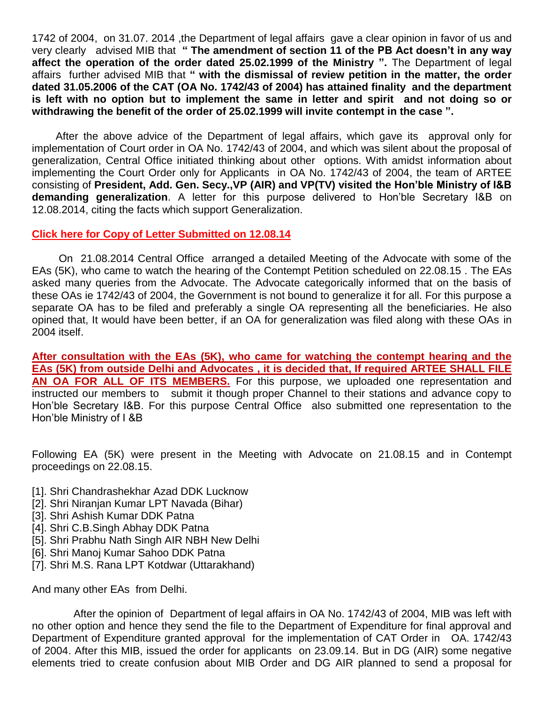1742 of 2004, on 31.07. 2014 ,the Department of legal affairs gave a clear opinion in favor of us and very clearly advised MIB that **" The amendment of section 11 of the PB Act doesn't in any way affect the operation of the order dated 25.02.1999 of the Ministry ".** The Department of legal affairs further advised MIB that **" with the dismissal of review petition in the matter, the order dated 31.05.2006 of the CAT (OA No. 1742/43 of 2004) has attained finality and the department is left with no option but to implement the same in letter and spirit and not doing so or withdrawing the benefit of the order of 25.02.1999 will invite contempt in the case ".**

 After the above advice of the Department of legal affairs, which gave its approval only for implementation of Court order in OA No. 1742/43 of 2004, and which was silent about the proposal of generalization, Central Office initiated thinking about other options. With amidst information about implementing the Court Order only for Applicants in OA No. 1742/43 of 2004, the team of ARTEE consisting of **President, Add. Gen. Secy.,VP (AIR) and VP(TV) visited the Hon'ble Ministry of I&B demanding generalization**. A letter for this purpose delivered to Hon'ble Secretary I&B on 12.08.2014, citing the facts which support Generalization.

### **[Click here for Copy of Letter Submitted on 12.08.14](http://arteeindia.org/central/2014/1c1pMIB13.08.2014.pdf)**

 On 21.08.2014 Central Office arranged a detailed Meeting of the Advocate with some of the EAs (5K), who came to watch the hearing of the Contempt Petition scheduled on 22.08.15 . The EAs asked many queries from the Advocate. The Advocate categorically informed that on the basis of these OAs ie 1742/43 of 2004, the Government is not bound to generalize it for all. For this purpose a separate OA has to be filed and preferably a single OA representing all the beneficiaries. He also opined that, It would have been better, if an OA for generalization was filed along with these OAs in 2004 itself.

**After consultation with the EAs (5K), who came for watching the contempt hearing and the EAs (5K) from outside Delhi and Advocates , it is decided that, If required ARTEE SHALL FILE AN OA FOR ALL OF ITS MEMBERS.** For this purpose, we uploaded one representation and instructed our members to submit it though proper Channel to their stations and advance copy to Hon'ble Secretary I&B. For this purpose Central Office also submitted one representation to the Hon'ble Ministry of I &B

Following EA (5K) were present in the Meeting with Advocate on 21.08.15 and in Contempt proceedings on 22.08.15.

- [1]. Shri Chandrashekhar Azad DDK Lucknow
- [2]. Shri Niranjan Kumar LPT Navada (Bihar)
- [3]. Shri Ashish Kumar DDK Patna
- [4]. Shri C.B.Singh Abhay DDK Patna
- [5]. Shri Prabhu Nath Singh AIR NBH New Delhi
- [6]. Shri Manoj Kumar Sahoo DDK Patna
- [7]. Shri M.S. Rana LPT Kotdwar (Uttarakhand)

And many other EAs from Delhi.

 After the opinion of Department of legal affairs in OA No. 1742/43 of 2004, MIB was left with no other option and hence they send the file to the Department of Expenditure for final approval and Department of Expenditure granted approval for the implementation of CAT Order in OA. 1742/43 of 2004. After this MIB, issued the order for applicants on 23.09.14. But in DG (AIR) some negative elements tried to create confusion about MIB Order and DG AIR planned to send a proposal for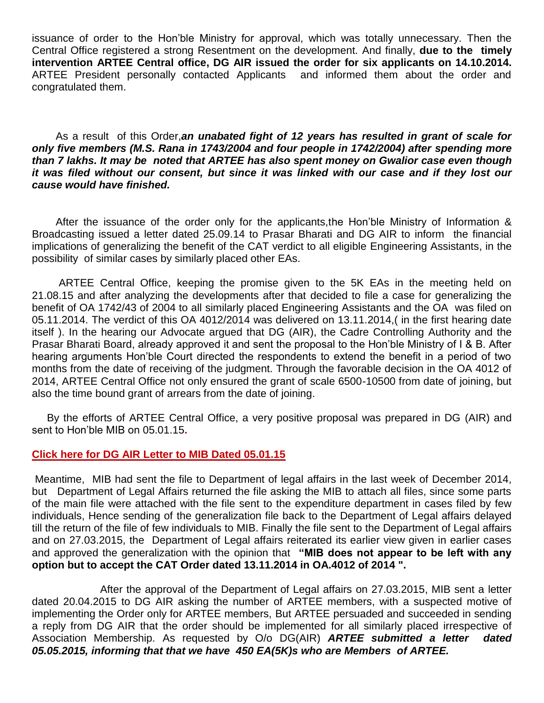issuance of order to the Hon'ble Ministry for approval, which was totally unnecessary. Then the Central Office registered a strong Resentment on the development. And finally, **due to the timely intervention ARTEE Central office, DG AIR issued the order for six applicants on 14.10.2014.** ARTEE President personally contacted Applicants and informed them about the order and congratulated them.

 As a result of this Order,*an unabated fight of 12 years has resulted in grant of scale for only five members (M.S. Rana in 1743/2004 and four people in 1742/2004) after spending more than 7 lakhs. It may be noted that ARTEE has also spent money on Gwalior case even though it was filed without our consent, but since it was linked with our case and if they lost our cause would have finished.*

 After the issuance of the order only for the applicants,the Hon'ble Ministry of Information & Broadcasting issued a letter dated 25.09.14 to Prasar Bharati and DG AIR to inform the financial implications of generalizing the benefit of the CAT verdict to all eligible Engineering Assistants, in the possibility of similar cases by similarly placed other EAs.

 ARTEE Central Office, keeping the promise given to the 5K EAs in the meeting held on 21.08.15 and after analyzing the developments after that decided to file a case for generalizing the benefit of OA 1742/43 of 2004 to all similarly placed Engineering Assistants and the OA was filed on 05.11.2014. The verdict of this OA 4012/2014 was delivered on 13.11.2014,( in the first hearing date itself ). In the hearing our Advocate argued that DG (AIR), the Cadre Controlling Authority and the Prasar Bharati Board, already approved it and sent the proposal to the Hon'ble Ministry of I & B. After hearing arguments Hon'ble Court directed the respondents to extend the benefit in a period of two months from the date of receiving of the judgment. Through the favorable decision in the OA 4012 of 2014, ARTEE Central Office not only ensured the grant of scale 6500-10500 from date of joining, but also the time bound grant of arrears from the date of joining.

 By the efforts of ARTEE Central Office, a very positive proposal was prepared in DG (AIR) and sent to Hon'ble MIB on 05.01.15**.** 

## **[Click here for DG AIR Letter to MIB Dated 05.01.15](http://arteeindia.org/central/2015/DGAIR_Letter_to_MIB_221214.pdf)**

Meantime, MIB had sent the file to Department of legal affairs in the last week of December 2014, but Department of Legal Affairs returned the file asking the MIB to attach all files, since some parts of the main file were attached with the file sent to the expenditure department in cases filed by few individuals, Hence sending of the generalization file back to the Department of Legal affairs delayed till the return of the file of few individuals to MIB. Finally the file sent to the Department of Legal affairs and on 27.03.2015, the Department of Legal affairs reiterated its earlier view given in earlier cases and approved the generalization with the opinion that **"MIB does not appear to be left with any option but to accept the CAT Order dated 13.11.2014 in OA.4012 of 2014 ".**

 After the approval of the Department of Legal affairs on 27.03.2015, MIB sent a letter dated 20.04.2015 to DG AIR asking the number of ARTEE members, with a suspected motive of implementing the Order only for ARTEE members, But ARTEE persuaded and succeeded in sending a reply from DG AIR that the order should be implemented for all similarly placed irrespective of Association Membership. As requested by O/o DG(AIR) *ARTEE submitted a letter dated 05.05.2015, informing that that we have 450 EA(5K)s who are Members of ARTEE.*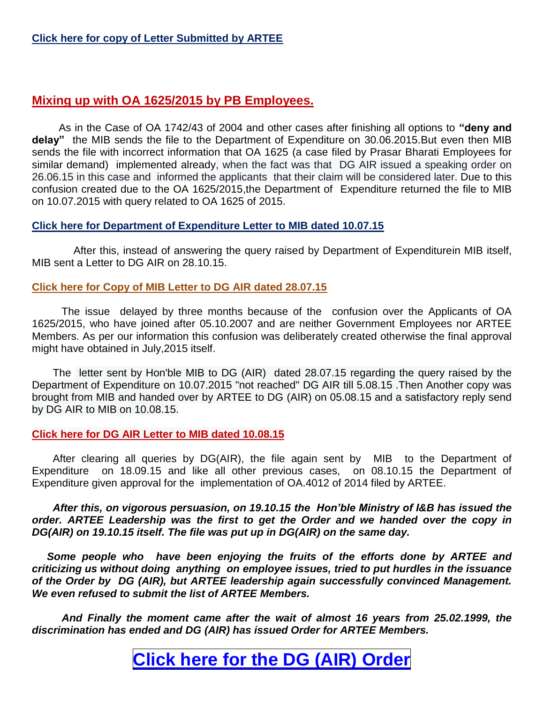## **[Click here for copy of Letter Submitted by ARTEE](http://arteeindia.org/central/2015/ARTEE_Letter_to_DGAIR_dated_050515.pdf)**

## **Mixing up with OA 1625/2015 by PB Employees.**

As in the Case of OA 1742/43 of 2004 and other cases after finishing all options to **"deny and delay"** the MIB sends the file to the Department of Expenditure on 30.06.2015.But even then MIB sends the file with incorrect information that OA 1625 (a case filed by Prasar Bharati Employees for similar demand) implemented already, when the fact was that DG AIR issued a speaking order on 26.06.15 in this case and informed the applicants that their claim will be considered later. Due to this confusion created due to the OA 1625/2015,the Department of Expenditure returned the file to MIB on 10.07.2015 with query related to OA 1625 of 2015.

## **[Click here for Department of Expenditure Letter to MIB dated 10.07.15](http://arteeindia.org/central/2015/Department_of_Exp_Letter_to_MIB_10.07.15.pdf)**

 After this, instead of answering the query raised by Department of Expenditurein MIB itself, MIB sent a Letter to DG AIR on 28.10.15.

### **[Click here for Copy of MIB Letter to DG AIR dated 28.07.15](http://arteeindia.org/central/2015/MIB_to_DGAIR_28.07.15.pdf)**

 The issue delayed by three months because of the confusion over the Applicants of OA 1625/2015, who have joined after 05.10.2007 and are neither Government Employees nor ARTEE Members. As per our information this confusion was deliberately created otherwise the final approval might have obtained in July,2015 itself.

 The letter sent by Hon'ble MIB to DG (AIR) dated 28.07.15 regarding the query raised by the Department of Expenditure on 10.07.2015 "not reached" DG AIR till 5.08.15 .Then Another copy was brought from MIB and handed over by ARTEE to DG (AIR) on 05.08.15 and a satisfactory reply send by DG AIR to MIB on 10.08.15.

## **[Click here for DG AIR Letter to MIB dated 10.08.15](http://arteeindia.org/central/2015/DGAIR_Letter_to_MIB_10.08.15.pdf)**

 After clearing all queries by DG(AIR), the file again sent by MIB to the Department of Expenditure on 18.09.15 and like all other previous cases, on 08.10.15 the Department of Expenditure given approval for the implementation of OA.4012 of 2014 filed by ARTEE.

 *After this, on vigorous persuasion, on 19.10.15 the Hon'ble Ministry of I&B has issued the order. ARTEE Leadership was the first to get the Order and we handed over the copy in DG(AIR) on 19.10.15 itself. The file was put up in DG(AIR) on the same day.*

 *Some people who have been enjoying the fruits of the efforts done by ARTEE and criticizing us without doing anything on employee issues, tried to put hurdles in the issuance of the Order by DG (AIR), but ARTEE leadership again successfully convinced Management. We even refused to submit the list of ARTEE Members.*

 *And Finally the moment came after the wait of almost 16 years from 25.02.1999, the discrimination has ended and DG (AIR) has issued Order for ARTEE Members.*

# **Click here for the DG (AIR) [Order](http://arteeindia.org/central/2015/EA_5K_Generalization_Order_231015.pdf)**